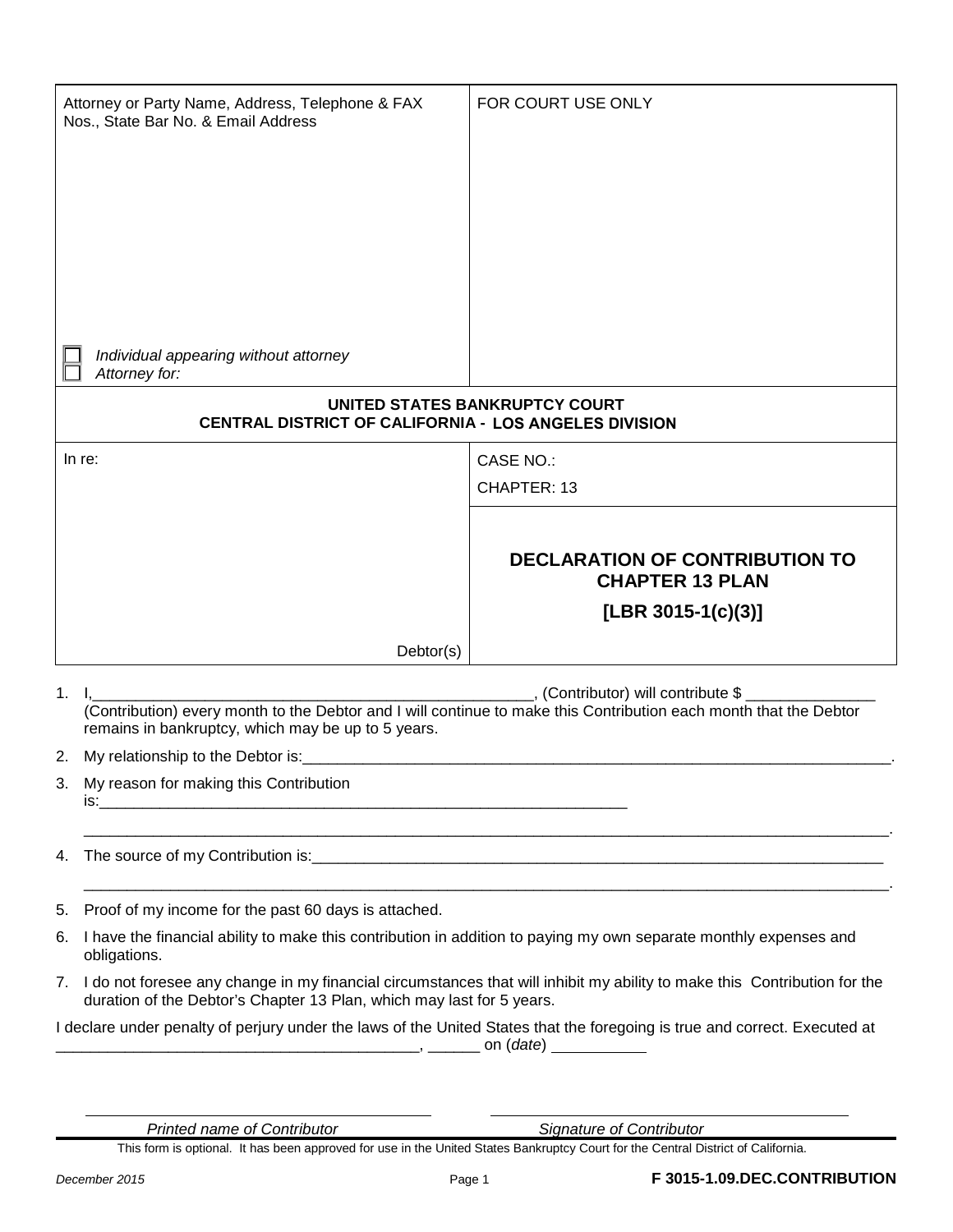|                                                                                                                            | Attorney or Party Name, Address, Telephone & FAX<br>Nos., State Bar No. & Email Address                                                                                                                                        | FOR COURT USE ONLY                                              |  |  |
|----------------------------------------------------------------------------------------------------------------------------|--------------------------------------------------------------------------------------------------------------------------------------------------------------------------------------------------------------------------------|-----------------------------------------------------------------|--|--|
|                                                                                                                            |                                                                                                                                                                                                                                |                                                                 |  |  |
|                                                                                                                            | Individual appearing without attorney<br>Attorney for:                                                                                                                                                                         |                                                                 |  |  |
| UNITED STATES BANKRUPTCY COURT<br>CENTRAL DISTRICT OF CALIFORNIA - LOS ANGELES DIVISION                                    |                                                                                                                                                                                                                                |                                                                 |  |  |
|                                                                                                                            | In re:                                                                                                                                                                                                                         | CASE NO.:                                                       |  |  |
|                                                                                                                            |                                                                                                                                                                                                                                | CHAPTER: 13                                                     |  |  |
|                                                                                                                            |                                                                                                                                                                                                                                |                                                                 |  |  |
|                                                                                                                            |                                                                                                                                                                                                                                | <b>DECLARATION OF CONTRIBUTION TO</b><br><b>CHAPTER 13 PLAN</b> |  |  |
|                                                                                                                            |                                                                                                                                                                                                                                | [LBR 3015-1(c)(3)]                                              |  |  |
|                                                                                                                            |                                                                                                                                                                                                                                |                                                                 |  |  |
|                                                                                                                            | Dektor(s)                                                                                                                                                                                                                      |                                                                 |  |  |
|                                                                                                                            | $1. \quad I,$<br>, (Contributor) will contribute \$<br>(Contribution) every month to the Debtor and I will continue to make this Contribution each month that the Debtor<br>remains in bankruptcy, which may be up to 5 years. |                                                                 |  |  |
|                                                                                                                            | 2. My relationship to the Debtor is:                                                                                                                                                                                           |                                                                 |  |  |
| 3.                                                                                                                         | My reason for making this Contribution                                                                                                                                                                                         |                                                                 |  |  |
| 4.                                                                                                                         |                                                                                                                                                                                                                                |                                                                 |  |  |
| 5.                                                                                                                         | Proof of my income for the past 60 days is attached.                                                                                                                                                                           |                                                                 |  |  |
| 6.                                                                                                                         | I have the financial ability to make this contribution in addition to paying my own separate monthly expenses and<br>obligations.                                                                                              |                                                                 |  |  |
|                                                                                                                            | 7. I do not foresee any change in my financial circumstances that will inhibit my ability to make this Contribution for the<br>duration of the Debtor's Chapter 13 Plan, which may last for 5 years.                           |                                                                 |  |  |
| I declare under penalty of perjury under the laws of the United States that the foregoing is true and correct. Executed at |                                                                                                                                                                                                                                |                                                                 |  |  |
|                                                                                                                            |                                                                                                                                                                                                                                |                                                                 |  |  |

This form is optional. It has been approved for use in the United States Bankruptcy Court for the Central District of California.

 $\overline{a}$